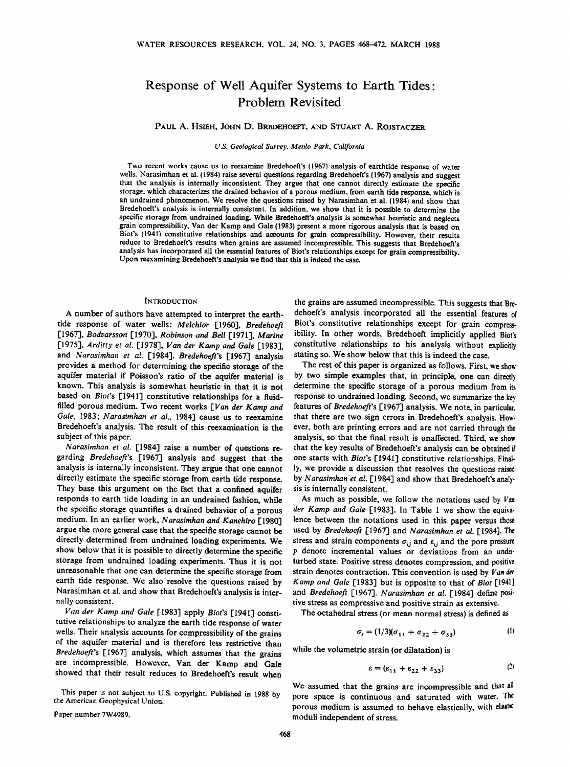# **Response of Well Aquifer Systems to Earth Tides-Problem Revisited**

**PAUL A. HSIEH, JOHN D. BREDEHOEFT, AND STUART A. ROJSTACZER** 

**U.S. Geological Survey, Menlo Park, California** 

**Two recent works cause us to reexamine Bredehoeft's (1967) analysis of earthtide response of water wells. Narasimhan et al. {1984) raise several questions regarding Bredehoeft's (1967) analysis and suggest that the analysis is internally inconsistent. They argue that one cannot directly estimate the specific storage, which characterizes the drained behavior of a porous medium, from earth tide response, which is an undrained phenomenon. We resolve the questions raised by Narasimhan et al. (1984) and show that Bredehoeft's analysis is internally consistent. In addition, we show that it is possible to determine the specific storage from undrained loading. While Bredehoeft's analysis is somewhat heuristic and neglects grain compressibility, Van der Kamp and Gale (1983) present a more rigorous analysis that is based on Biot's 11941) constitutive relationships and accounts for grain compressibility. However, their results reduce to Bredehoeft's results when grains are assumed incompressible. This suggests that Bredehoeft's**  analysis has incorporated all the essential features of Biot's relationships except for grain compressibility. **Upon reexamining Bredehoeft's analysis we find that this is indeed the case.** 

#### **INTRODUCTION**

A number of authors have attempted to interpret the earth**tide response of water wells: Melchior [1960], Bredehoeft [1967], Bodvarsson [I970], Robinson and Bell [1971], Marine**  [1975], Arditty et al. [1978], Van der Kamp and Gale [1983], **and Narasimhan et al. [1984]. Bredehoeft's [1967] analysis provides a method for determining the specific storage of the aquifer material if Poisson's ratio of the aquifer material is known. This analysis is somewhat heuristic in that it is not based on Biot's [194I] constitutive relationships for a fluidfilled porous medium. Two recent works [Van der Kamp and Gale, I983; Narasimhan et al., 1984] cause us to reexamine Bredehoeft's analysis. The result of this reexamination is the subject of this paper.** 

**Narasimhan et al. [!984] raise a number of questions regarding Bredehoefi's [1967] analysis and suggesthat the analysis is internally inconsistent. They argue that one cannot directly estimate the specific storage from earth tide response. They base this argument on the fact that a confined aquifer responds to earth tide loading in an undrained fashion, while the specific storage quantifies adrained behavior of a porous medium. in an earlier work, Narasimhan and Kanehiro [1980] argue the more general case that the specific storage cannot be directly determined from undrained loading experiments. We show below that it is possible to directly determine the specific storage from undrained loading experiments. Thus it is not unreasonable that one can determine the specific storage from earth tide response. We also resolve the questions raised by Narasimhan et al. and show that Bredehoeft's analysis is internally consistent.** 

**Van der Kamp and Gale [1983] apply Biot's [1941] consti**tutive relationships to analyze the earth tide response of water **wells, Their analysis accounts for compressibility of the grains of the aquifer material and is therefore less restrictive than Bredehoefi's [1967] analysis, which assumes that the grains are incompressible. Flowever, Van der Kamp and Gale showed that their result reduces to Bredehoeft's result when** 

**This paper is not subject to U.S. copyright. Published in 1988 by the American Geophysical Union.** 

**Paper number 7W4989.** 

**the grains are assumed incompressible. This suggests that Bredehoeft's analysis incorporated all the essential features of Biot's constitutive relationships except for grain compressibility. In other words, Bredehoeft implicitly applied Biot's**  constitutive relationships to his analysis without explicitly **stating so. We show below that this is indeed the case.** 

The rest of this paper is organized as follows. First, we show by two simple examples that, in principle, one can directly **determine the specific storage of a porous medium from its response to undrained loading. Second, we summarize the key**  features of Bredehoeft's [1967] analysis. We note, in particular, **that there are two sign errors in Bredehoeft's analysis. However, both are printing errors and are not carried through the analysis, so that the final result is unaffected. Third, we show that the key results of Bredehoeft's analysis can be obtained if one starts with Biot's [1941] constitutive relationships. Finally, we provide a discussion that resolves the questions raised by Narasimhan et al. [1984] and show that Bredehoeft's analysis is internally consistent.** 

**As much as possible, we follow the notations used by Van der Kamp and Gale [1983]. In Table 1 we show the equivalence between the notations used in this paper versus those used by Bredehoefi [1967] and Narasimhan et al. [1984]. The**  stress and strain components  $\sigma_{ij}$  and  $\varepsilon_{ij}$  and the pore pressure **p denote incremental values or deviations from an undisturbed state. Positive stress denotes compression, and positive strain denotes contraction. This convention is used by Van der Kamp and Gale [!983] but is opposite to that of Biot [!941] and Bredehoeft [1967]. Narasimhan et al. [1984] define positive stress as compressive and positive strain as extensive.** 

**The octahedral stress (or mean normal stress) is defined as** 

$$
\sigma_t = (1/3)(\sigma_{11} + \sigma_{22} + \sigma_{33})
$$
 (1)

**while the volumetric strain (or dilatation) is** 

$$
\varepsilon = (\varepsilon_{11} + \varepsilon_{22} + \varepsilon_{33}) \tag{2}
$$

**We assumed that the grains are incompressible and that pore space is continuous and saturated with water. The porous medium is assumed to behave elastically, with**  moduli independent of stress.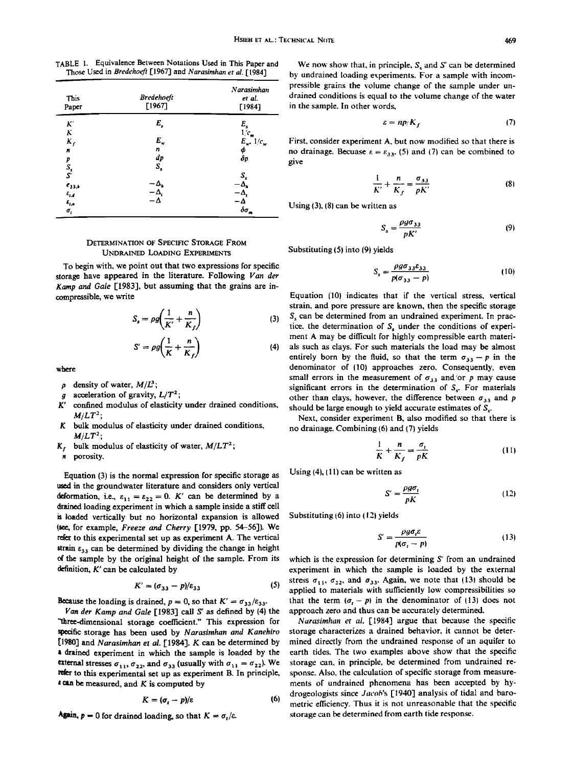**TABLE 1. Equivalence Between Notations Used in This Paper and**  Those Used in Bredehoeft [1967] and Narasimhan et al. [1984]

| This<br>Paper            | Bredehoeft<br>[1967] | Narasimhan<br>et al.<br>[1984] |
|--------------------------|----------------------|--------------------------------|
| K.                       | E,                   | E,                             |
| $\overline{\bf K}$       |                      | $1/c_m$                        |
| $K_f$                    | $E_{\rm w}$          | $E_{w^*}$ 1/ $c_w$             |
| n                        | n                    |                                |
|                          | dp<br>S,             | ф<br>бр                        |
| p<br>S <sub>s</sub><br>S |                      |                                |
|                          |                      | S,                             |
| $e_{33,4}$               | -Δ,                  | ۰д.                            |
| $\varepsilon_{\rm r, d}$ | –Δ,                  | -Δ,                            |
| $\varepsilon_{\rm r,s}$  | - ۸                  | $-\Delta$<br>$\delta \sigma_m$ |
| $\sigma_{\rm r}$         |                      |                                |

# **DETERMINATION OF SPECIFIC STORAGE FROM UNDRAINED LOADING EXPERIMENTS**

**To begin with, we point out that two expressions for specific storage have appeared in the literature. Following Van der Kamp and Gale [1983], but assuming that the grains are incompressible, we write** 

$$
S_s = \rho g \bigg( \frac{1}{K'} + \frac{n}{K_f} \bigg) \tag{3}
$$

$$
S' = \rho g \left( \frac{1}{K} + \frac{n}{K_f} \right) \tag{4}
$$

**where** 

- $\rho$  density of water,  $M/L^3$ ;
- *g* acceleration of gravity,  $L/T^2$ ;<br> $K'$  confined modulus of elasticity
- confined modulus of elasticity under drained conditions,  $M/LT^2$ ;
- **K bulk modulus of elasticity under drained conditions,**   $M/LT^2$ ;
- $K_f$  bulk modulus of elasticity of water,  $M/LT^2$ ;

**n porosity.** 

**Equation (3) is the normal expression for specific storage as used in the groundwater literature and considers only vertical deformation, i.e.,**  $\varepsilon_{11} = \varepsilon_{22} = 0$ **.** K' can be determined by a **drained loading experiment in which a sample inside a stiff cell • loaded vertically but no horizontal expansion is allowed i•ee, for example, Freeze and Cherry [1979, pp. 54-56]). We refer to this experimental set up as experiment A. The vertical**   $strain$   $\varepsilon_{33}$  can be determined by dividing the change in height **of the sample by the original height of the sample. From its definition, K' can be calculated by** 

$$
K' = (\sigma_{33} - p)/\varepsilon_{33} \tag{5}
$$

**liecause** the loading is drained,  $p = 0$ , so that  $K' = \sigma_{33}/\varepsilon_{33}$ .

Van der Kamp and Gale [1983] call S' as defined by (4) the **•lhree-dimensional storage coefficient." This expression for specific storage has been used by Narasimhan and Kanehiro**  [1980] and Narasimhan et al. [1984]. K can be determined by **a drained experiment in which the sample is loaded by the external stresses**  $\sigma_{11}$ ,  $\sigma_{22}$ , and  $\sigma_{33}$  (usually with  $\sigma_{11} = \sigma_{22}$ ). We refer to this experimental set up as experiment B. In principle,  $\epsilon$  can be measured, and  $K$  is computed by

$$
K = (\sigma_{\rm r} - p)/\varepsilon \tag{6}
$$

Again,  $p = 0$  for drained loading, so that  $K = \sigma_t/\varepsilon$ .

We now show that, in principle,  $S<sub>s</sub>$  and  $S'$  can be determined **by undrained loading experiments. For a sample with incompressible grains the volume change of the sample under undrained conditions is equal to the volume change of the water in the sample. In other words,** 

$$
\varepsilon = np/K_f \tag{7}
$$

First, consider experiment A, but now modified so that there is no drainage. Becuase  $\varepsilon = \varepsilon_{33}$ , (5) and (7) can be combined to **give** 

$$
\frac{1}{K'} + \frac{n}{K_f} = \frac{\sigma_{33}}{pK'}
$$
 (8)

**Using (3), 18) can be written as** 

$$
S_s = \frac{\rho g \sigma_{33}}{pK'} \tag{9}
$$

**Substituting (5} into (9) yields** 

$$
S_s = \frac{\rho g \sigma_{33} \varepsilon_{33}}{p(\sigma_{33} - p)}\tag{10}
$$

**Equation (10} indicates that if the vertical stress, vertical strain, and pore pressure are known, then the specific storage S, can be determined from an undrained experiment. In prac**tice, the determination of S<sub>r</sub> under the conditions of experi**ment A may be difficult for highly compressible earth materials such as clays. For such materials the load may be almost**  entirely born by the fluid, so that the term  $\sigma_{33} - p$  in the **denominator of i10) approaches zero. Consequently, even**  small errors in the measurement of  $\sigma_{33}$  and/or p may cause significant errors in the determination of  $S<sub>s</sub>$ . For materials other than clays, however, the difference between  $\sigma_{33}$  and  $p$ **should be large enough to yield accurate estimates of S,.** 

**Next, consider experiment B, also modified so that there is no drainage. Combining (6) and (7) yields** 

$$
\frac{1}{K} + \frac{n}{K_f} = \frac{\sigma_t}{pK} \tag{11}
$$

**Using (4), (11) can be written as** 

$$
S' = \frac{\rho g \sigma_t}{pK} \tag{12}
$$

**Substituting (6) into (12) yields** 

$$
S' = \frac{\rho g \sigma_t \varepsilon}{p(\sigma_t - p)}\tag{13}
$$

**which is the expression for determining S' from an undrained experiment in which the sample is loaded by the external**  stress  $\sigma_{11}, \sigma_{22}$ , and  $\sigma_{33}$ . Again, we note that (13) should be **a'pplied to materials with sufficiently low compressibilities so**  that the term  $(a_t - p)$  in the denominator of (13) does not **approach zero and thus can be accurately determined.** 

**Narasimhan et al. [1984] argue that because the specific storage characterizes a drained behavior, it cannot be determined directly from the undrained response of an aquifer to earth tides. The two examples above show that the specific storage can, in principle, be determined from undrained re**sponse. Also, the calculation of specific storage from measure**ments of undrained phenomena has been accepted by hydrogeologists since Jacob's [1940] analysis of tidal and barometric efficiency. Thus it is not unreasonable that the specific storage can be determined from earth tide response.**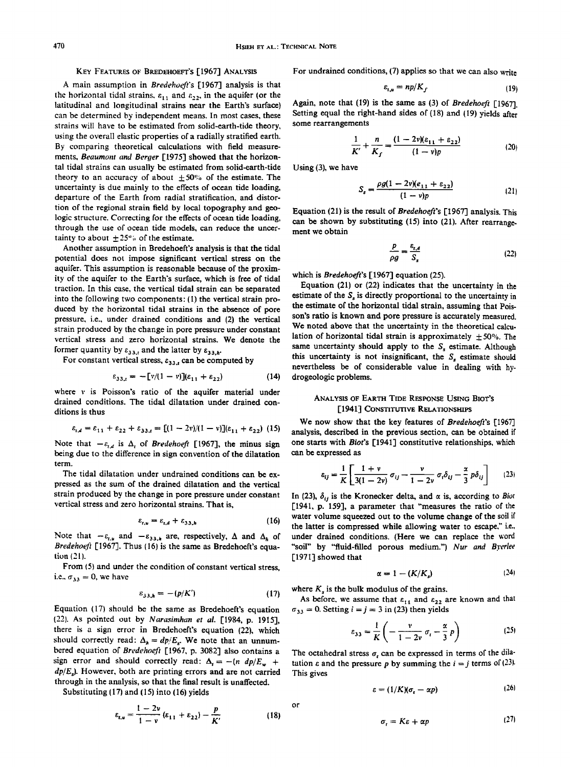## **KEy FEATURES OF BREDEHOEFT'S [1967] ANALYSIS**

A main assumption in *Bredehoeft's* [1967] analysis is that the horizontal tidal strains,  $\varepsilon_{11}$  and  $\varepsilon_{22}$ , in the aquifer (or the **latitudinal and longitudinal strains near the Earth's surface) can be determined by independent means. In most cases, these strains will have to be estimated from solid-earth-tide theory, using the overall elastic properties of a radially stratified earth. By comparing theoretical calculations with field measurements, Beaumont and Berger [1975] showed that the horizontal tidal strains can usually be estimated from solid-earth-tide**  theory to an accuracy of about  $\pm 50\%$  of the estimate. The **uncertainty is due mainly to the effects of ocean tide loading, departure of the Earth from radial stratification, and distortion of the regional strain field by local topography and geologic structure. Correcting for the effects of ocean tide loading, through the use of ocean tide models, can reduce the uncer**tainty to about  $\pm 25^\circ$  of the estimate.

**Another assumption in Bredehoeft's analysis is that the tidal potential does not impose significant vertical stress on the aquifer. This assumption is reasonable because of the proximity of the aquifer to the Earth's surface, which is free of tidal traction. In this case, the vertical tidal strain can be separated**  into the following two components: (1) the vertical strain pro**duced by the horizontal tidal strains in the absence of pore pressure, i.e., under drained conditions and (2) the vertical strain produced by the change in pore pressure under constant vertical stress and zero horizontal strains. We denote the**  former quantity by  $\varepsilon_{33,t}$  and the latter by  $\varepsilon_{33,t}$ .

For constant vertical stress,  $\varepsilon_{33,t}$  can be computed by

$$
\varepsilon_{33,t} = -\left[\mathbf{v}/(1-\mathbf{v})\right](\varepsilon_{11} + \varepsilon_{22})\tag{14}
$$

**where v is Poisson's ratio of the aquifer material under drained conditions. The tidal dilatation under drained conditions is thus** 

$$
\varepsilon_{t,d} = \varepsilon_{11} + \varepsilon_{22} + \varepsilon_{33,t} = [(1-2v)/(1-v)](\varepsilon_{11} + \varepsilon_{22})
$$
 (15)

Note that  $-\varepsilon_{t,d}$  is  $\Delta_t$  of *Bredehoeft* [1967], the minus sign **being due to the difference in sign convention of the dilatation term.** 

**The tidal dilatation under undrained conditions can be expressed as the sum of the drained dilatation and the vertical strain produced by the change in pore pressure under constant vertical stress and zero horizontal strains. That is,** 

$$
\varepsilon_{t,u} = \varepsilon_{t,d} + \varepsilon_{33,h} \tag{16}
$$

Note that  $-\varepsilon_{t,u}$  and  $-\varepsilon_{33,h}$  are, respectively,  $\Delta$  and  $\Delta_h$  of Bredehoeft [1967]. Thus (16) is the same as Bredehoeft's equa**tion (21 ).** 

**From {5) and under the condition of constant vertical stress,**  i.e.,  $\sigma_{33} = 0$ , we have

$$
\varepsilon_{33,h} = -(p/K') \tag{17}
$$

**Equation t17} should be the same as Bredehoeft's equation /22}. As pointed out by Narasimhan et al. [1984, p. 1915], there is a sign error in Bredehoeft's equation (22), which**  should correctly read:  $\Delta_h = dp/E_s$ . We note that an unnumbered equation of Bredehoeft [1967, p. 3082] also contains a sign error and should correctly read:  $\Delta_t = -(n \ dp/E_w +$ **dp/E•). However, both are printing errors and are not carried**  through in the analysis, so that the final result is unaffected.

**Substituting (17) and (15) into (16) yields** 

$$
\varepsilon_{t,u} = \frac{1-2v}{1-v} (\varepsilon_{11} + \varepsilon_{22}) - \frac{p}{K'} \tag{18}
$$

**For undrained conditions, (7) applies so that we can also write** 

$$
\varepsilon_{t,u} = np/K_f \tag{19}
$$

**Again, note that (19) is the same as (3) of Bredehoefi [1967]. Setting equal the right-hand sides of (18) and (19) yields after some rearrangements** 

$$
\frac{1}{K'} + \frac{n}{K_f} = \frac{(1 - 2\nu)(\varepsilon_{11} + \varepsilon_{22})}{(1 - \nu)p}
$$
 (20)

**Using (3), we have** 

$$
S_s = \frac{\rho g (1 - 2v)(e_{11} + e_{22})}{(1 - v)p}
$$
 (21)

**Equation (21) is the result of Bredehoefi's [1967] analysis. This can be shown by substituting (15) into (21). After rearrangement we obtain** 

$$
\frac{p}{\rho g} = \frac{\varepsilon_{t,d}}{S_s} \tag{22}
$$

**which is Bredehoeft's [1967] equation (25).** 

**Equation (21) or (22) indicates that the uncertainty in the**  estimate of the  $S<sub>s</sub>$  is directly proportional to the uncertainty in **the estimate of the horizontal tidal strain, assuming that Pois**son's ratio is known and pore pressure is accurately measured. **We noted above that the uncertainty in the theoretical calcu**lation of horizontal tidal strain is approximately  $\pm 50$ %. The same uncertainty should apply to the  $S<sub>s</sub>$  estimate. Although this uncertainty is not insignificant, the  $S<sub>s</sub>$  estimate should **nevertheless be of considerable value in dealing with hydrogeologic problems.** 

# **ANALYSIS OF EARTH TIDE RESPONSE USING BiOT'S [1941] CONSTITUTIVE RELATIONSHIPS**

**We now show that the key features of Bredehoefi's [1967] analysis, described in the previous section, can be obtained if one starts with Biot's [1941] constitutive relationships, which can be expressed as** 

$$
\varepsilon_{ij} = \frac{1}{K} \left[ \frac{1+v}{3(1-2v)} \sigma_{ij} - \frac{v}{1-2v} \sigma_i \delta_{ij} - \frac{\alpha}{3} p \delta_{ij} \right]
$$
 (23)

In (23),  $\delta_{ij}$  is the Kronecker delta, and  $\alpha$  is, according to *Biot* **[1941, p. 159], a parameter that "measures the ratio of the water volume squeezed out to the volume change of the soil if the latter is compressed while allowing water to escape," i.e., under drained conditions. (Here we can replace the word "soil" by "fluid-filled porous medium.") Nur and Byeflee [ 1971 ] showed that** 

$$
\alpha = 1 - (K/K_s) \tag{24}
$$

**where K, is the bulk modulus of the grains.** 

As before, we assume that  $\varepsilon_{11}$  and  $\varepsilon_{22}$  are known and that  $\sigma_{33} = 0$ . Setting  $i = j = 3$  in (23) then yields

$$
\varepsilon_{33} = \frac{1}{K} \left( -\frac{v}{1 - 2v} \sigma_t - \frac{\alpha}{3} p \right)
$$
 (25)

The octahedral stress  $\sigma$ , can be expressed in terms of the dilatation  $\varepsilon$  and the pressure p by summing the  $i = j$  terms of  $(23)$ . **This gives** 

$$
\varepsilon = (1/K)(\sigma_{\varepsilon} - \alpha p) \tag{26}
$$

**or** 

$$
\sigma_r = K\varepsilon + \alpha p \tag{27}
$$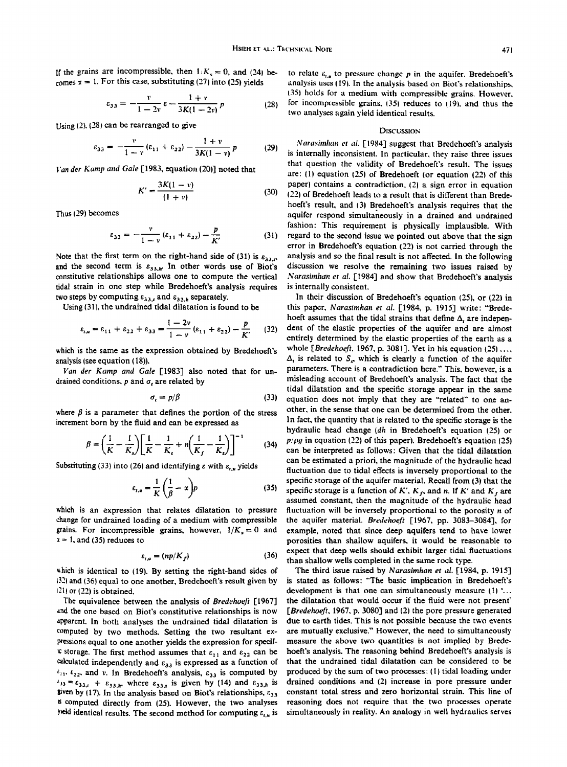If the grains are incompressible, then  $1/K_s = 0$ , and (24) becomes  $x = 1$ . For this case, substituting (27) into (25) yields

$$
\varepsilon_{33} = -\frac{v}{1 - 2v} \varepsilon - \frac{1 + v}{3K(1 - 2v)} p \qquad (28)
$$

**Using {2), (28} can be rearranged to give** 

$$
\varepsilon_{33} = -\frac{v}{1-v}(\varepsilon_{11} + \varepsilon_{22}) - \frac{1+v}{3K(1-v)}p \qquad (29)
$$

**}'an der Kamp and Gale [ 1983, equation (20)] noted that** 

 $\overline{a}$  and  $\overline{a}$ 

$$
K' = \frac{3K(1 - v)}{(1 + v)}
$$
 (30)

**Thus 129) becomes** 

$$
\varepsilon_{33} = -\frac{v}{1-v}(\varepsilon_{11} + \varepsilon_{22}) - \frac{p}{K'} \tag{31}
$$

Note that the first term on the right-hand side of (31) is  $\varepsilon_{33,r}$ and the second term is  $\varepsilon_{33,h}$ . In other words use of Biot's **constitutive relationships allows one to compute the vertical tidal strain in one step while Bredehoeft's analysis requires**  two steps by computing  $\varepsilon_{33,t}$  and  $\varepsilon_{33,h}$  separately.

**Using (311, the undrained tidal dilatation is found to be** 

$$
\varepsilon_{t,u} = \varepsilon_{11} + \varepsilon_{22} + \varepsilon_{33} = \frac{1 - 2v}{1 - v} (\varepsilon_{11} + \varepsilon_{22}) - \frac{p}{K'} \qquad (32)
$$

**which is the same as the expression obtained by Bredehoeft's analysis {see equation { 18)).** 

Van der Kamp and Gale [1983] also noted that for undrained conditions,  $p$  and  $q$ , are related by

$$
\sigma_t = p/\beta \tag{33}
$$

where  $\beta$  is a parameter that defines the portion of the stress **increment born by the fluid and can be expressed as** 

$$
\beta = \left(\frac{1}{K} - \frac{1}{K_s}\right) \left[\frac{1}{K} - \frac{1}{K_s} + n\left(\frac{1}{K_f} - \frac{1}{K_s}\right)\right]^{-1}
$$
 (34)  $\frac{p^2}{c^2}$ 

Substituting (33) into (26) and identifying  $\varepsilon$  with  $\varepsilon_{i,u}$  yields

$$
\varepsilon_{t,u} = \frac{1}{K} \left( \frac{1}{\beta} - x \right) p \tag{35}
$$

**which is an expression that relates dilatation to pressure change for undrained loading of a medium with compressible**  grains. For incompressible grains, however,  $1/K_s=0$  and  $x = 1$ , and (35) reduces to

$$
\varepsilon_{r,u} = (np/K_f) \tag{36}
$$

**•hich is identical to (19). By setting the right-hand sides of t32• and (36! equal to one another, Bredehoeft's result given by •21• or (22} is obtained.** 

**The equivalence between the analysis of Bredehoefi [!967] and the one based on Biot's constitutive relationships is now a•arent. In both analyses the undrained tidal dilatation is computed by two methods. Setting the two resultant expressions equal to one another yields the expression for specif-** $\kappa$  storage. The first method assumes that  $\varepsilon_{11}$  and  $\varepsilon_{22}$  can be <sup>15</sup> computed directly from (25). However, the two analyses reasoning does not require that the two processes operate **yeld identical results. The second method for computing**  $c_{t,u}$  **is** 

to relate  $\varepsilon_{i,n}$  to pressure change p in the aquifer. Bredehoeft's analysis uses (19). In the analysis based on Biot's relationships, **!35t holds for a medium with compressible grains. However,**  for incompressible grains, (35) reduces to (19), and thus the **two analyses again yield identical results.** 

### **DISCUSSION**

Narasimhan et al. [1984] suggest that Bredehoeft's analysis **is internally inconsistent. In particular, they raise three issues that question the validity of Bredehoeft's result. The issues**  are: (1) equation (25) of Bredehoeft (or equation (22) of this paper) contains a contradiction, (2) a sign error in equation **122} of Bredehoeft leads to a result that is different than Bredehoeft's result, and (3• Bredehoeft's analysis requires that the**  aquifer respond simultaneously in a drained and undrained **fashion' This requirement is physically implausible. With regard to the second issue we pointed out above that the sign error in Bredehoeft's equation (22) is not carried through the analysis and so the final result is not affected. In the following discussion we resolve the remaining two issues raised by Narasimhan et al. [1984] and show that Bredehoeft's analysis is internally consistent.** 

**In their discussion of Bredehoeff's equation (25), or (22) in**  this paper, Narasimhan et al. [1984, p. 1915] write: "Bredehoeft assumes that the tidal strains that define  $\Delta$ , are independent of the elastic properties of the aquifer and are almost **entirely determined by the elastic properties of' the earth as a**  whole [Bredehoeft, 1967, p. 3081]. Yet in his equation (25) ...,  $\Delta_t$  is related to  $S_s$ , which is clearly a function of the aquifer **parameters. There is a contradiction here." This, however, is a misleading account of Bredehoeft's analysis. The fact that the tidal dilatation and the specific storage appear in the same equation does not imply that they are "related" to one another, in the sense that one can be determined from the other. In fact, the quantity that is related to the specific storage is the hydraulic head change (dh in Bredehoeft's equation (25) or**   $p/\rho g$  in equation (22) of this paper). Bredehoeft's equation (25) can be interpreted as follows: Given that the tidal dilatation **can be estimated a priori, the magnitude of the hydraulic head fluctuation due to tidal effects is inversely proportional to the specific storage of the aquifer material. Recall from 13} that the**  specific storage is a function of K',  $K_f$ , and n. If K' and  $K_f$  are **assumed constant, then the magnitude of the hydraulic head fluctuation will be inversely proportional to the porosity n of**  the aquifer material. Bredehoeft [1967, pp. 3083-3084], for **example, noted that since deep aquifers tend to have lower porosities than shallow aquifers, it would be reasonable to expect that deep wells should exhibit larger tidal fluctuations**  than shallow wells completed in the same rock type.

**The third issue raised by Narasimhan et al. [1984, p. 1915] is stated as follows' "The basic implication in Bredehoeft's**  development is that one can simultaneously measure (1) '... the dilatation that would occur if the fluid were not present' [Bredehoeft, 1967, p. 3080] and (2) the pore pressure generated **due to earth tides. This is not possible because the two events are mutually exclusive." However, the need to simultaneously measure the above two quantities is not implied by Bredehoeft's analysis. The reasoning behind Bredehoeft's analysis is**  Calculated independently and  $\varepsilon_{33}$  is expressed as a function of that the undrained tidal dilatation can be considered to be<br> $\varepsilon_{11}, \varepsilon_{22}$ , and v. In Bredehoeft's analysis,  $\varepsilon_{13}$  is computed by produced by the  $t_1$ ,  $t_2$ , and v. In Bredehoeft's analysis,  $t_{33}$  is computed by produced by the sum of two processes: (1) tidal loading under  $t_{33} = t_{33}$ .  $t_{33} = t_{33}$ , where  $t_{33}$  is given by (14) and  $t_{33}$  is drained condi  $k_{33} = k_{33,t} + k_{33,h}$ , where  $k_{33,t}$  is given by (14) and  $k_{33,h}$  is drained conditions and (2) increase in pore pressure under  $\mathbf{g}$  is given by (17). In the analysis based on Biot's relationships,  $k_{13}$  constant **given** by (17). In the analysis based on Biot's relationships,  $\varepsilon_{33}$  constant total stress and zero horizontal strain. This line of  $\kappa$  computed directly from (25). However, the two analyses reasoning does not requ